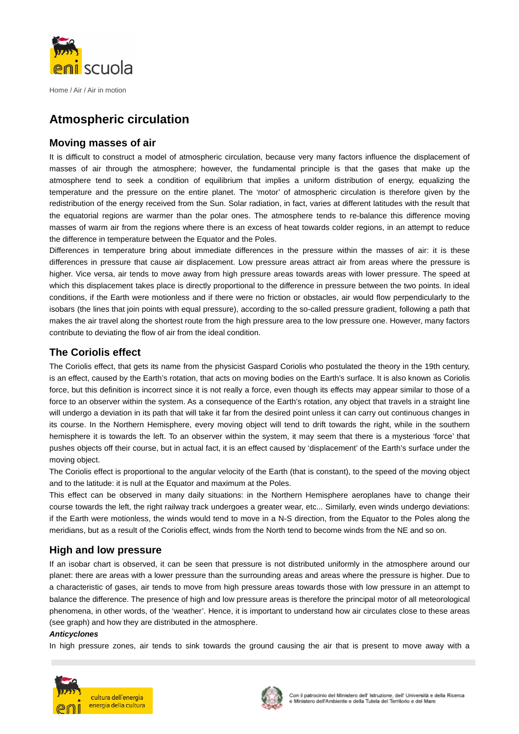

Home / Air / Air in motion

# **Atmospheric circulation**

## **Moving masses of air**

It is difficult to construct a model of atmospheric circulation, because very many factors influence the displacement of masses of air through the atmosphere; however, the fundamental principle is that the gases that make up the atmosphere tend to seek a condition of equilibrium that implies a uniform distribution of energy, equalizing the temperature and the pressure on the entire planet. The 'motor' of atmospheric circulation is therefore given by the redistribution of the energy received from the Sun. Solar radiation, in fact, varies at different latitudes with the result that the equatorial regions are warmer than the polar ones. The atmosphere tends to re-balance this difference moving masses of warm air from the regions where there is an excess of heat towards colder regions, in an attempt to reduce the difference in temperature between the Equator and the Poles.

Differences in temperature bring about immediate differences in the pressure within the masses of air: it is these differences in pressure that cause air displacement. Low pressure areas attract air from areas where the pressure is higher. Vice versa, air tends to move away from high pressure areas towards areas with lower pressure. The speed at which this displacement takes place is directly proportional to the difference in pressure between the two points. In ideal conditions, if the Earth were motionless and if there were no friction or obstacles, air would flow perpendicularly to the isobars (the lines that join points with equal pressure), according to the so-called pressure gradient, following a path that makes the air travel along the shortest route from the high pressure area to the low pressure one. However, many factors contribute to deviating the flow of air from the ideal condition.

# **The Coriolis effect**

The Coriolis effect, that gets its name from the physicist Gaspard Coriolis who postulated the theory in the 19th century, is an effect, caused by the Earth's rotation, that acts on moving bodies on the Earth's surface. It is also known as Coriolis force, but this definition is incorrect since it is not really a force, even though its effects may appear similar to those of a force to an observer within the system. As a consequence of the Earth's rotation, any object that travels in a straight line will undergo a deviation in its path that will take it far from the desired point unless it can carry out continuous changes in its course. In the Northern Hemisphere, every moving object will tend to drift towards the right, while in the southern hemisphere it is towards the left. To an observer within the system, it may seem that there is a mysterious 'force' that pushes objects off their course, but in actual fact, it is an effect caused by 'displacement' of the Earth's surface under the moving object.

The Coriolis effect is proportional to the angular velocity of the Earth (that is constant), to the speed of the moving object and to the latitude: it is null at the Equator and maximum at the Poles.

This effect can be observed in many daily situations: in the Northern Hemisphere aeroplanes have to change their course towards the left, the right railway track undergoes a greater wear, etc... Similarly, even winds undergo deviations: if the Earth were motionless, the winds would tend to move in a N-S direction, from the Equator to the Poles along the meridians, but as a result of the Coriolis effect, winds from the North tend to become winds from the NE and so on.

## **High and low pressure**

If an isobar chart is observed, it can be seen that pressure is not distributed uniformly in the atmosphere around our planet: there are areas with a lower pressure than the surrounding areas and areas where the pressure is higher. Due to a characteristic of gases, air tends to move from high pressure areas towards those with low pressure in an attempt to balance the difference. The presence of high and low pressure areas is therefore the principal motor of all meteorological phenomena, in other words, of the 'weather'. Hence, it is important to understand how air circulates close to these areas (see graph) and how they are distributed in the atmosphere.

#### **Anticyclones**

In high pressure zones, air tends to sink towards the ground causing the air that is present to move away with a



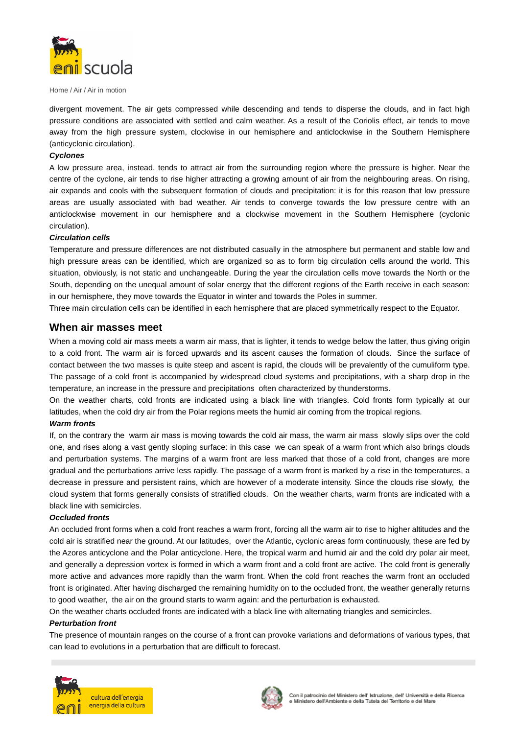

Home / Air / Air in motion

divergent movement. The air gets compressed while descending and tends to disperse the clouds, and in fact high pressure conditions are associated with settled and calm weather. As a result of the Coriolis effect, air tends to move away from the high pressure system, clockwise in our hemisphere and anticlockwise in the Southern Hemisphere (anticyclonic circulation).

#### **Cyclones**

A low pressure area, instead, tends to attract air from the surrounding region where the pressure is higher. Near the centre of the cyclone, air tends to rise higher attracting a growing amount of air from the neighbouring areas. On rising, air expands and cools with the subsequent formation of clouds and precipitation: it is for this reason that low pressure areas are usually associated with bad weather. Air tends to converge towards the low pressure centre with an anticlockwise movement in our hemisphere and a clockwise movement in the Southern Hemisphere (cyclonic circulation).

#### **Circulation cells**

Temperature and pressure differences are not distributed casually in the atmosphere but permanent and stable low and high pressure areas can be identified, which are organized so as to form big circulation cells around the world. This situation, obviously, is not static and unchangeable. During the year the circulation cells move towards the North or the South, depending on the unequal amount of solar energy that the different regions of the Earth receive in each season: in our hemisphere, they move towards the Equator in winter and towards the Poles in summer.

Three main circulation cells can be identified in each hemisphere that are placed symmetrically respect to the Equator.

### **When air masses meet**

When a moving cold air mass meets a warm air mass, that is lighter, it tends to wedge below the latter, thus giving origin to a cold front. The warm air is forced upwards and its ascent causes the formation of clouds. Since the surface of contact between the two masses is quite steep and ascent is rapid, the clouds will be prevalently of the cumuliform type. The passage of a cold front is accompanied by widespread cloud systems and precipitations, with a sharp drop in the temperature, an increase in the pressure and precipitations often characterized by thunderstorms.

On the weather charts, cold fronts are indicated using a black line with triangles. Cold fronts form typically at our latitudes, when the cold dry air from the Polar regions meets the humid air coming from the tropical regions.

#### **Warm fronts**

If, on the contrary the warm air mass is moving towards the cold air mass, the warm air mass slowly slips over the cold one, and rises along a vast gently sloping surface: in this case we can speak of a warm front which also brings clouds and perturbation systems. The margins of a warm front are less marked that those of a cold front, changes are more gradual and the perturbations arrive less rapidly. The passage of a warm front is marked by a rise in the temperatures, a decrease in pressure and persistent rains, which are however of a moderate intensity. Since the clouds rise slowly, the cloud system that forms generally consists of stratified clouds. On the weather charts, warm fronts are indicated with a black line with semicircles.

#### **Occluded fronts**

An occluded front forms when a cold front reaches a warm front, forcing all the warm air to rise to higher altitudes and the cold air is stratified near the ground. At our latitudes, over the Atlantic, cyclonic areas form continuously, these are fed by the Azores anticyclone and the Polar anticyclone. Here, the tropical warm and humid air and the cold dry polar air meet, and generally a depression vortex is formed in which a warm front and a cold front are active. The cold front is generally more active and advances more rapidly than the warm front. When the cold front reaches the warm front an occluded front is originated. After having discharged the remaining humidity on to the occluded front, the weather generally returns to good weather, the air on the ground starts to warm again: and the perturbation is exhausted.

On the weather charts occluded fronts are indicated with a black line with alternating triangles and semicircles.

#### **Perturbation front**

The presence of mountain ranges on the course of a front can provoke variations and deformations of various types, that can lead to evolutions in a perturbation that are difficult to forecast.